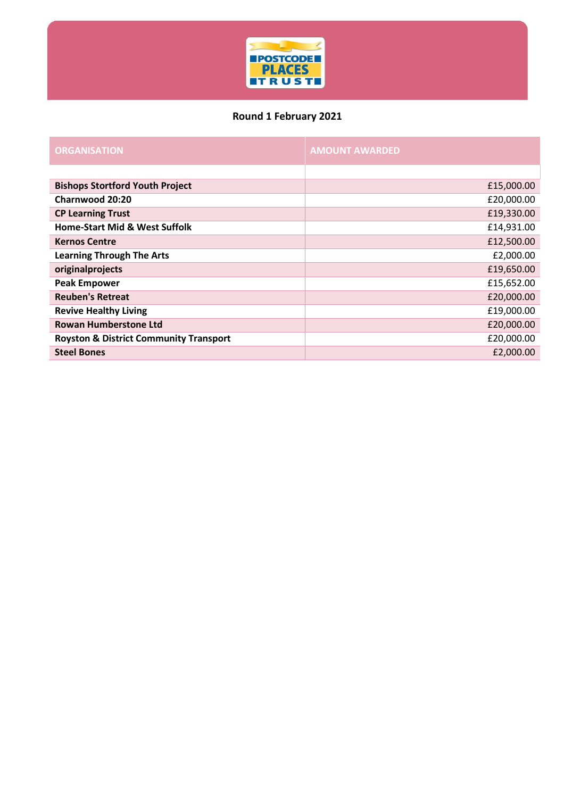

## **Round 1 February 2021**

| <b>ORGANISATION</b>                               | <b>AMOUNT AWARDED</b> |
|---------------------------------------------------|-----------------------|
|                                                   |                       |
| <b>Bishops Stortford Youth Project</b>            | £15,000.00            |
| Charnwood 20:20                                   | £20,000.00            |
| <b>CP Learning Trust</b>                          | £19,330.00            |
| <b>Home-Start Mid &amp; West Suffolk</b>          | £14,931.00            |
| <b>Kernos Centre</b>                              | £12,500.00            |
| <b>Learning Through The Arts</b>                  | £2,000.00             |
| originalprojects                                  | £19,650.00            |
| <b>Peak Empower</b>                               | £15,652.00            |
| <b>Reuben's Retreat</b>                           | £20,000.00            |
| <b>Revive Healthy Living</b>                      | £19,000.00            |
| <b>Rowan Humberstone Ltd</b>                      | £20,000.00            |
| <b>Royston &amp; District Community Transport</b> | £20,000.00            |
| <b>Steel Bones</b>                                | £2,000.00             |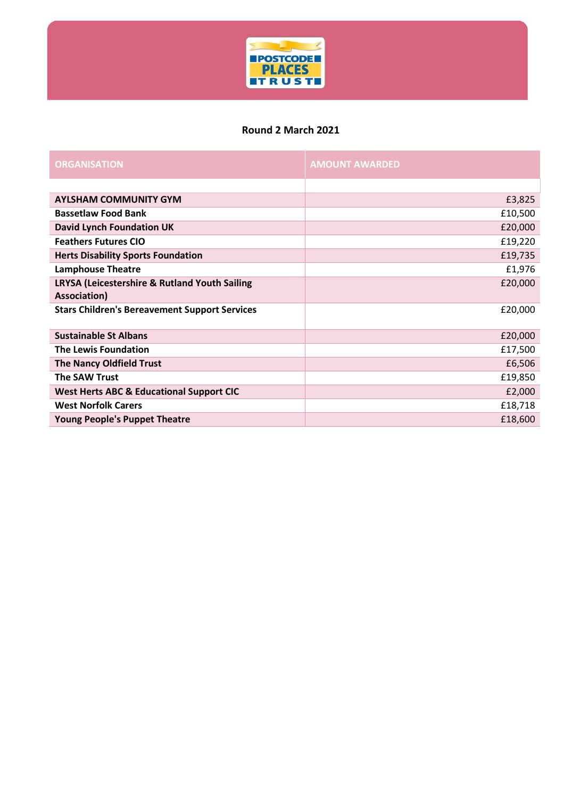

#### **Round 2 March 2021**

| <b>ORGANISATION</b>                                           | <b>AMOUNT AWARDED</b> |
|---------------------------------------------------------------|-----------------------|
|                                                               |                       |
| <b>AYLSHAM COMMUNITY GYM</b>                                  | £3,825                |
| <b>Bassetlaw Food Bank</b>                                    | £10,500               |
| <b>David Lynch Foundation UK</b>                              | £20,000               |
| <b>Feathers Futures CIO</b>                                   | £19,220               |
| <b>Herts Disability Sports Foundation</b>                     | £19,735               |
| <b>Lamphouse Theatre</b>                                      | £1,976                |
| LRYSA (Leicestershire & Rutland Youth Sailing<br>Association) | £20,000               |
| <b>Stars Children's Bereavement Support Services</b>          | £20,000               |
|                                                               |                       |
| <b>Sustainable St Albans</b>                                  | £20,000               |
| <b>The Lewis Foundation</b>                                   | £17,500               |
| <b>The Nancy Oldfield Trust</b>                               | £6,506                |
| <b>The SAW Trust</b>                                          | £19,850               |
| <b>West Herts ABC &amp; Educational Support CIC</b>           | £2,000                |
| <b>West Norfolk Carers</b>                                    | £18,718               |
| <b>Young People's Puppet Theatre</b>                          | £18,600               |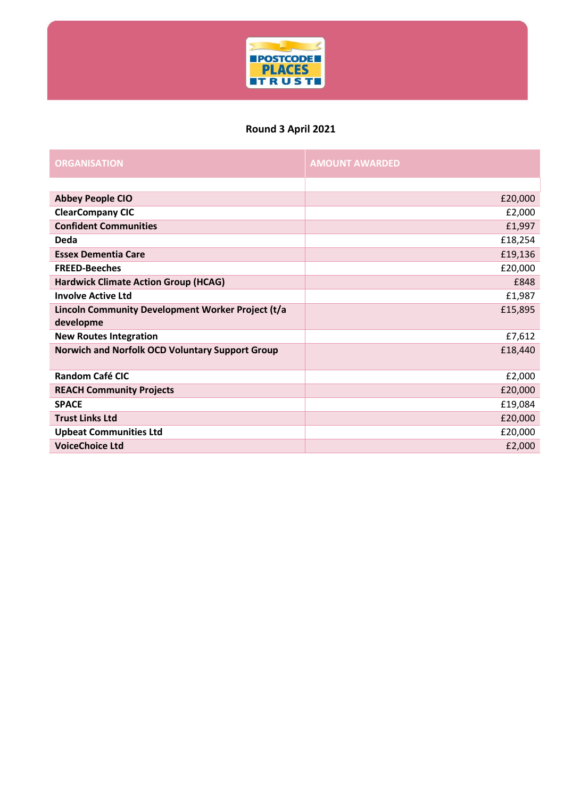

## **Round 3 April 2021**

| <b>ORGANISATION</b>                                    | <b>AMOUNT AWARDED</b> |
|--------------------------------------------------------|-----------------------|
|                                                        |                       |
| <b>Abbey People CIO</b>                                | £20,000               |
| <b>ClearCompany CIC</b>                                | £2,000                |
| <b>Confident Communities</b>                           | £1,997                |
| Deda                                                   | £18,254               |
| <b>Essex Dementia Care</b>                             | £19,136               |
| <b>FREED-Beeches</b>                                   | £20,000               |
| <b>Hardwick Climate Action Group (HCAG)</b>            | £848                  |
| <b>Involve Active Ltd</b>                              | £1,987                |
| Lincoln Community Development Worker Project (t/a      | £15,895               |
| developme                                              |                       |
| <b>New Routes Integration</b>                          | £7,612                |
| <b>Norwich and Norfolk OCD Voluntary Support Group</b> | £18,440               |
| <b>Random Café CIC</b>                                 | £2,000                |
| <b>REACH Community Projects</b>                        | £20,000               |
| <b>SPACE</b>                                           | £19,084               |
| <b>Trust Links Ltd</b>                                 | £20,000               |
| <b>Upbeat Communities Ltd</b>                          | £20,000               |
| <b>VoiceChoice Ltd</b>                                 | £2,000                |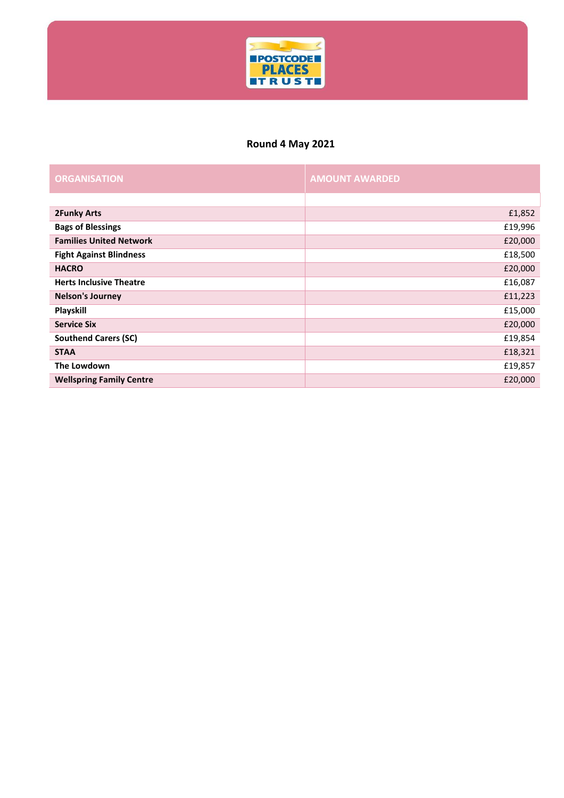

# **Round 4 May 2021**

| <b>ORGANISATION</b>             | <b>AMOUNT AWARDED</b> |
|---------------------------------|-----------------------|
|                                 |                       |
| <b>2Funky Arts</b>              | £1,852                |
| <b>Bags of Blessings</b>        | £19,996               |
| <b>Families United Network</b>  | £20,000               |
| <b>Fight Against Blindness</b>  | £18,500               |
| <b>HACRO</b>                    | £20,000               |
| <b>Herts Inclusive Theatre</b>  | £16,087               |
| <b>Nelson's Journey</b>         | £11,223               |
| Playskill                       | £15,000               |
| <b>Service Six</b>              | £20,000               |
| <b>Southend Carers (SC)</b>     | £19,854               |
| <b>STAA</b>                     | £18,321               |
| The Lowdown                     | £19,857               |
| <b>Wellspring Family Centre</b> | £20,000               |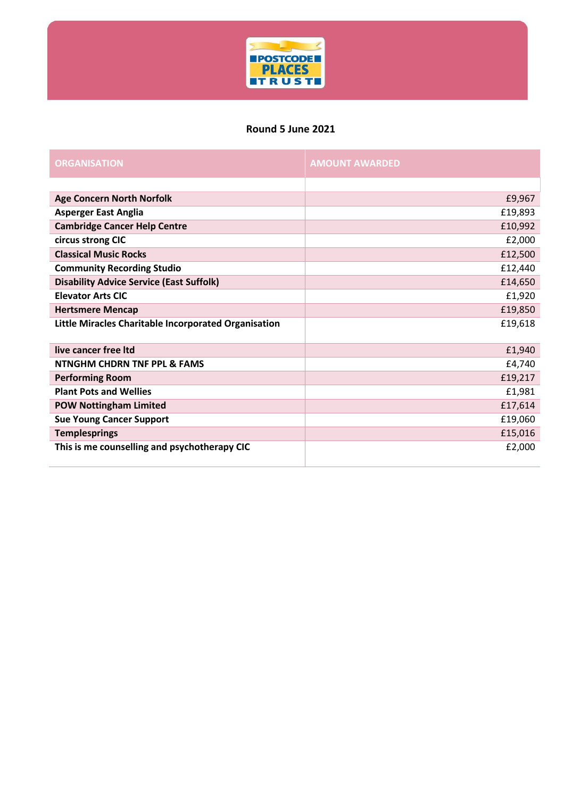

#### **Round 5 June 2021**

| <b>ORGANISATION</b>                                  | <b>AMOUNT AWARDED</b> |
|------------------------------------------------------|-----------------------|
|                                                      |                       |
| <b>Age Concern North Norfolk</b>                     | £9,967                |
| <b>Asperger East Anglia</b>                          | £19,893               |
| <b>Cambridge Cancer Help Centre</b>                  | £10,992               |
| circus strong CIC                                    | £2,000                |
| <b>Classical Music Rocks</b>                         | £12,500               |
| <b>Community Recording Studio</b>                    | £12,440               |
| <b>Disability Advice Service (East Suffolk)</b>      | £14,650               |
| <b>Elevator Arts CIC</b>                             | £1,920                |
| <b>Hertsmere Mencap</b>                              | £19,850               |
| Little Miracles Charitable Incorporated Organisation | £19,618               |
| live cancer free Itd                                 | £1,940                |
| <b>NTNGHM CHDRN TNF PPL &amp; FAMS</b>               | £4,740                |
| <b>Performing Room</b>                               | £19,217               |
| <b>Plant Pots and Wellies</b>                        | £1,981                |
| <b>POW Nottingham Limited</b>                        | £17,614               |
| <b>Sue Young Cancer Support</b>                      | £19,060               |
| <b>Templesprings</b>                                 | £15,016               |
| This is me counselling and psychotherapy CIC         | £2,000                |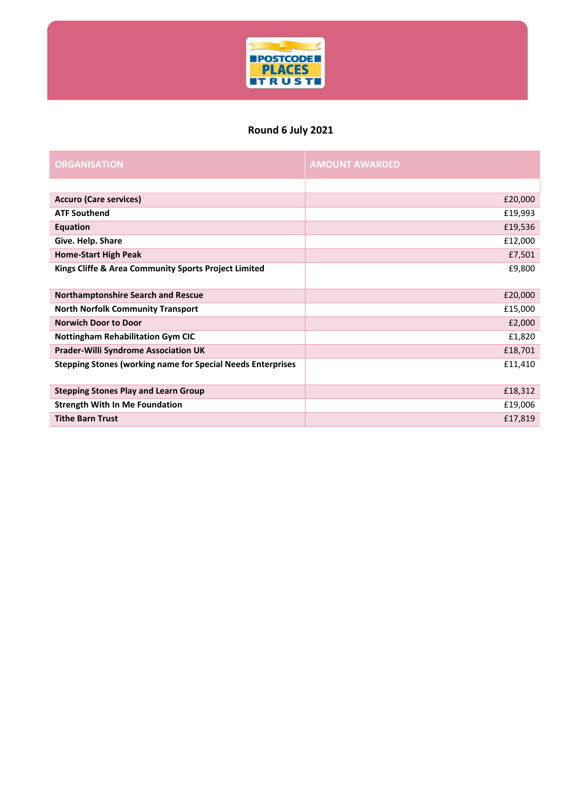

## **Round 6 July 2021**

| <b>ORGANISATION</b>                                                | <b>AMOUNT AWARDED</b> |
|--------------------------------------------------------------------|-----------------------|
|                                                                    |                       |
| <b>Accuro (Care services)</b>                                      | £20,000               |
| <b>ATF Southend</b>                                                | £19,993               |
| Equation                                                           | £19,536               |
| Give. Help. Share                                                  | £12,000               |
| <b>Home-Start High Peak</b>                                        | £7,501                |
| Kings Cliffe & Area Community Sports Project Limited               | £9,800                |
| <b>Northamptonshire Search and Rescue</b>                          | £20,000               |
| <b>North Norfolk Community Transport</b>                           | £15,000               |
| <b>Norwich Door to Door</b>                                        | £2,000                |
| <b>Nottingham Rehabilitation Gym CIC</b>                           | £1,820                |
| <b>Prader-Willi Syndrome Association UK</b>                        | £18,701               |
| <b>Stepping Stones (working name for Special Needs Enterprises</b> | £11,410               |
| <b>Stepping Stones Play and Learn Group</b>                        | £18,312               |
| <b>Strength With In Me Foundation</b>                              | £19,006               |
| <b>Tithe Barn Trust</b>                                            | £17,819               |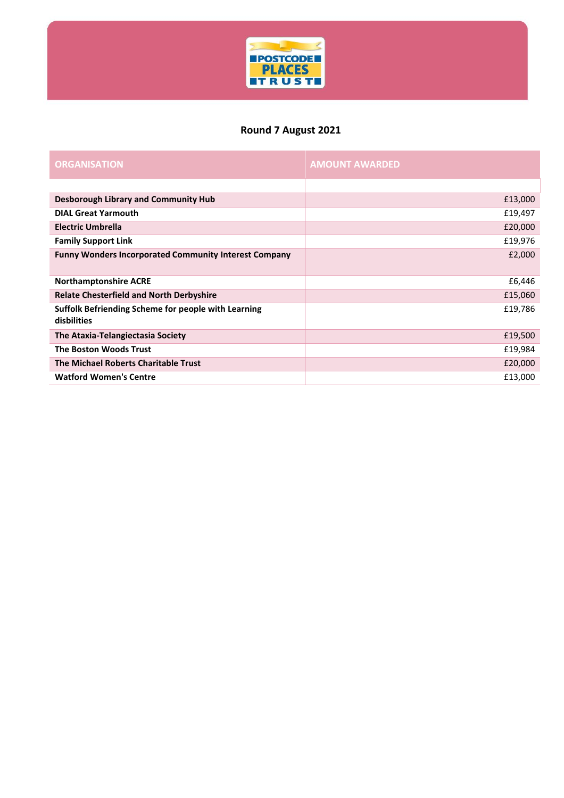

# **Round 7 August 2021**

| <b>ORGANISATION</b>                                                | <b>AMOUNT AWARDED</b> |
|--------------------------------------------------------------------|-----------------------|
|                                                                    |                       |
| <b>Desborough Library and Community Hub</b>                        | £13,000               |
| <b>DIAL Great Yarmouth</b>                                         | £19,497               |
| <b>Electric Umbrella</b>                                           | £20,000               |
| <b>Family Support Link</b>                                         | £19,976               |
| <b>Funny Wonders Incorporated Community Interest Company</b>       | £2,000                |
| <b>Northamptonshire ACRE</b>                                       | £6,446                |
| <b>Relate Chesterfield and North Derbyshire</b>                    | £15,060               |
| Suffolk Befriending Scheme for people with Learning<br>disbilities | £19,786               |
| The Ataxia-Telangiectasia Society                                  | £19,500               |
| <b>The Boston Woods Trust</b>                                      | £19,984               |
| The Michael Roberts Charitable Trust                               | £20,000               |
| <b>Watford Women's Centre</b>                                      | £13,000               |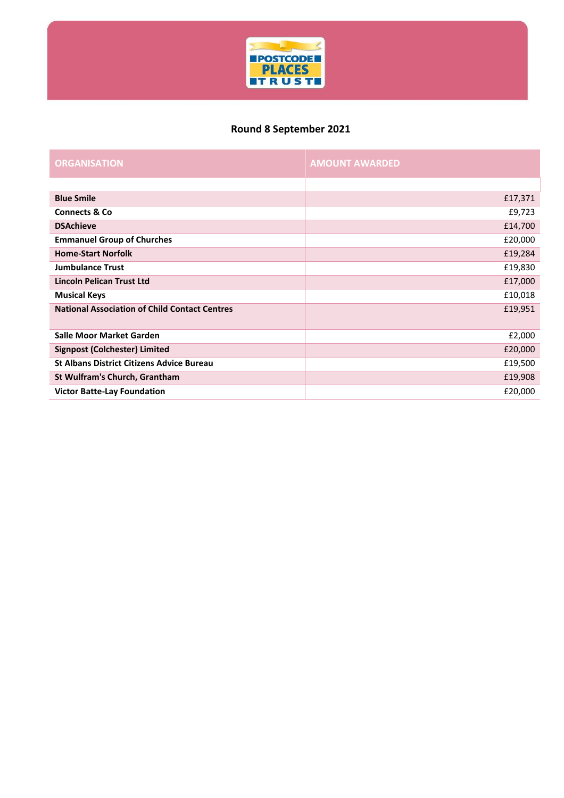

# **Round 8 September 2021**

| <b>ORGANISATION</b>                                  | <b>AMOUNT AWARDED</b> |
|------------------------------------------------------|-----------------------|
|                                                      |                       |
| <b>Blue Smile</b>                                    | £17,371               |
| <b>Connects &amp; Co.</b>                            | £9,723                |
| <b>DSAchieve</b>                                     | £14,700               |
| <b>Emmanuel Group of Churches</b>                    | £20,000               |
| <b>Home-Start Norfolk</b>                            | £19,284               |
| <b>Jumbulance Trust</b>                              | £19,830               |
| Lincoln Pelican Trust Ltd                            | £17,000               |
| <b>Musical Keys</b>                                  | £10,018               |
| <b>National Association of Child Contact Centres</b> | £19,951               |
| Salle Moor Market Garden                             | £2,000                |
| <b>Signpost (Colchester) Limited</b>                 | £20,000               |
| <b>St Albans District Citizens Advice Bureau</b>     | £19,500               |
| St Wulfram's Church, Grantham                        | £19,908               |
| <b>Victor Batte-Lay Foundation</b>                   | £20,000               |